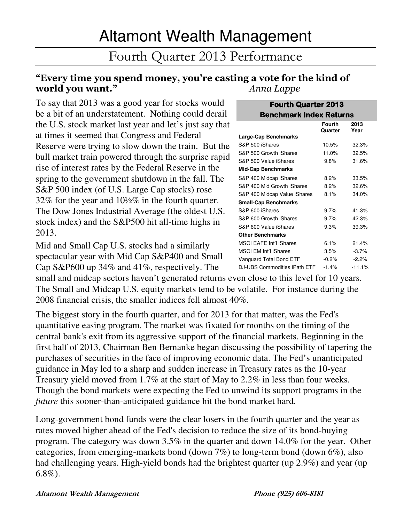# Fourth Quarter 2013 Performance

# "Every time you spend money, you're casting a vote for the kind of world you want." Anna Lappe

To say that 2013 was a good year for stocks would be a bit of an understatement. Nothing could derail the U.S. stock market last year and let's just say that at times it seemed that Congress and Federal Reserve were trying to slow down the train. But the bull market train powered through the surprise rapid rise of interest rates by the Federal Reserve in the spring to the government shutdown in the fall. The S&P 500 index (of U.S. Large Cap stocks) rose 32% for the year and 10½% in the fourth quarter. The Dow Jones Industrial Average (the oldest U.S. stock index) and the S&P500 hit all-time highs in 2013.

Mid and Small Cap U.S. stocks had a similarly spectacular year with Mid Cap S&P400 and Small Cap S&P600 up 34% and 41%, respectively. The

small and midcap sectors haven't generated returns even close to this level for 10 years. The Small and Midcap U.S. equity markets tend to be volatile. For instance during the 2008 financial crisis, the smaller indices fell almost 40%.

The biggest story in the fourth quarter, and for 2013 for that matter, was the Fed's quantitative easing program. The market was fixated for months on the timing of the central bank's exit from its aggressive support of the financial markets. Beginning in the first half of 2013, Chairman Ben Bernanke began discussing the possibility of tapering the purchases of securities in the face of improving economic data. The Fed's unanticipated guidance in May led to a sharp and sudden increase in Treasury rates as the 10-year Treasury yield moved from 1.7% at the start of May to 2.2% in less than four weeks. Though the bond markets were expecting the Fed to unwind its support programs in the *future* this sooner-than-anticipated guidance hit the bond market hard.

Long-government bond funds were the clear losers in the fourth quarter and the year as rates moved higher ahead of the Fed's decision to reduce the size of its bond-buying program. The category was down 3.5% in the quarter and down 14.0% for the year. Other categories, from emerging-markets bond (down 7%) to long-term bond (down 6%), also had challenging years. High-yield bonds had the brightest quarter (up 2.9%) and year (up 6.8%).

| <b>Benchmark Index Returns</b> |                          |              |
|--------------------------------|--------------------------|--------------|
|                                | <b>Fourth</b><br>Quarter | 2013<br>Year |
| Large-Cap Benchmarks           |                          |              |
| S&P 500 iShares                | 10.5%                    | 32.3%        |
| S&P 500 Growth iShares         | 11.0%                    | 32.5%        |
| S&P 500 Value iShares          | 9.8%                     | 31.6%        |
| <b>Mid-Cap Benchmarks</b>      |                          |              |
| S&P 400 Midcap iShares         | 8.2%                     | 33.5%        |
| S&P 400 Mid Growth iShares     | 8.2%                     | 32.6%        |
| S&P 400 Midcap Value iShares   | 8.1%                     | 34.0%        |
| <b>Small-Cap Benchmarks</b>    |                          |              |
| S&P 600 iShares                | 9.7%                     | 41.3%        |
| S&P 600 Growth iShares         | $9.7\%$                  | 42.3%        |
| S&P 600 Value iShares          | 9.3%                     | 39.3%        |
| <b>Other Benchmarks</b>        |                          |              |
| <b>MSCI EAFE Int'l iShares</b> | 6.1%                     | 21.4%        |
| <b>MSCI EM Int'l iShares</b>   | 3.5%                     | $-3.7%$      |
| Vanguard Total Bond ETF        | $-0.2%$                  | $-2.2%$      |
| DJ-UBS Commodities iPath ETF   | $-1.4%$                  | $-11.1%$     |

**Fourth Quarter 2013**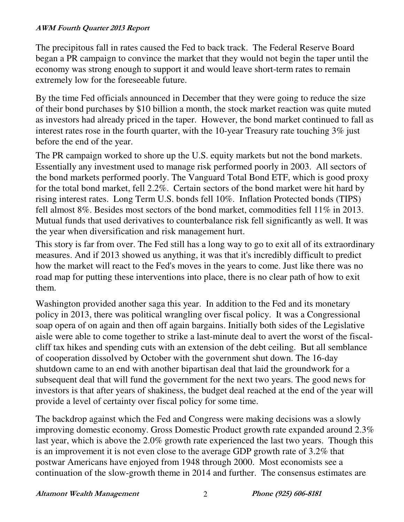The precipitous fall in rates caused the Fed to back track. The Federal Reserve Board began a PR campaign to convince the market that they would not begin the taper until the economy was strong enough to support it and would leave short-term rates to remain extremely low for the foreseeable future.

By the time Fed officials announced in December that they were going to reduce the size of their bond purchases by \$10 billion a month, the stock market reaction was quite muted as investors had already priced in the taper. However, the bond market continued to fall as interest rates rose in the fourth quarter, with the 10-year Treasury rate touching 3% just before the end of the year.

The PR campaign worked to shore up the U.S. equity markets but not the bond markets. Essentially any investment used to manage risk performed poorly in 2003. All sectors of the bond markets performed poorly. The Vanguard Total Bond ETF, which is good proxy for the total bond market, fell 2.2%. Certain sectors of the bond market were hit hard by rising interest rates. Long Term U.S. bonds fell 10%. Inflation Protected bonds (TIPS) fell almost 8%. Besides most sectors of the bond market, commodities fell 11% in 2013. Mutual funds that used derivatives to counterbalance risk fell significantly as well. It was the year when diversification and risk management hurt.

This story is far from over. The Fed still has a long way to go to exit all of its extraordinary measures. And if 2013 showed us anything, it was that it's incredibly difficult to predict how the market will react to the Fed's moves in the years to come. Just like there was no road map for putting these interventions into place, there is no clear path of how to exit them.

Washington provided another saga this year. In addition to the Fed and its monetary policy in 2013, there was political wrangling over fiscal policy. It was a Congressional soap opera of on again and then off again bargains. Initially both sides of the Legislative aisle were able to come together to strike a last-minute deal to avert the worst of the fiscalcliff tax hikes and spending cuts with an extension of the debt ceiling. But all semblance of cooperation dissolved by October with the government shut down. The 16-day shutdown came to an end with another bipartisan deal that laid the groundwork for a subsequent deal that will fund the government for the next two years. The good news for investors is that after years of shakiness, the budget deal reached at the end of the year will provide a level of certainty over fiscal policy for some time.

The backdrop against which the Fed and Congress were making decisions was a slowly improving domestic economy. Gross Domestic Product growth rate expanded around 2.3% last year, which is above the 2.0% growth rate experienced the last two years. Though this is an improvement it is not even close to the average GDP growth rate of 3.2% that postwar Americans have enjoyed from 1948 through 2000. Most economists see a continuation of the slow-growth theme in 2014 and further. The consensus estimates are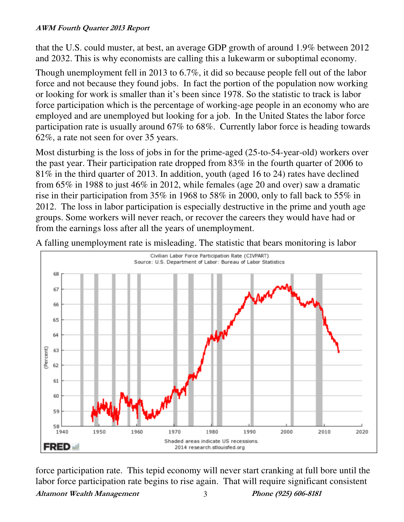that the U.S. could muster, at best, an average GDP growth of around 1.9% between 2012 and 2032. This is why economists are calling this a lukewarm or suboptimal economy.

Though unemployment fell in 2013 to 6.7%, it did so because people fell out of the labor force and not because they found jobs. In fact the portion of the population now working or looking for work is smaller than it's been since 1978. So the statistic to track is labor force participation which is the percentage of working-age people in an economy who are employed and are unemployed but looking for a job. In the United States the labor force participation rate is usually around 67% to 68%. Currently labor force is heading towards 62%, a rate not seen for over 35 years.

Most disturbing is the loss of jobs in for the prime-aged (25-to-54-year-old) workers over the past year. Their participation rate dropped from 83% in the fourth quarter of 2006 to 81% in the third quarter of 2013. In addition, youth (aged 16 to 24) rates have declined from 65% in 1988 to just 46% in 2012, while females (age 20 and over) saw a dramatic rise in their participation from 35% in 1968 to 58% in 2000, only to fall back to 55% in 2012. The loss in labor participation is especially destructive in the prime and youth age groups. Some workers will never reach, or recover the careers they would have had or from the earnings loss after all the years of unemployment.

A falling unemployment rate is misleading. The statistic that bears monitoring is labor



Altamont Wealth Management 3 Phone (925) 606-8181 force participation rate. This tepid economy will never start cranking at full bore until the labor force participation rate begins to rise again. That will require significant consistent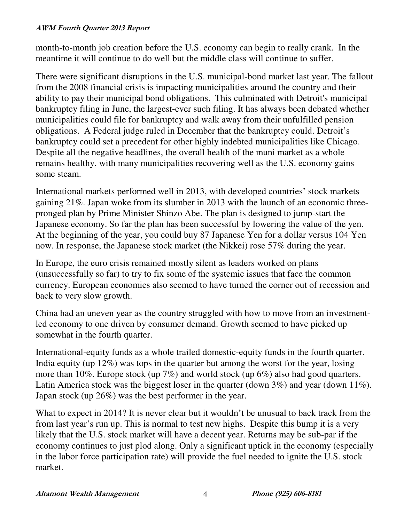month-to-month job creation before the U.S. economy can begin to really crank. In the meantime it will continue to do well but the middle class will continue to suffer.

There were significant disruptions in the U.S. municipal-bond market last year. The fallout from the 2008 financial crisis is impacting municipalities around the country and their ability to pay their municipal bond obligations. This culminated with Detroit's municipal bankruptcy filing in June, the largest-ever such filing. It has always been debated whether municipalities could file for bankruptcy and walk away from their unfulfilled pension obligations. A Federal judge ruled in December that the bankruptcy could. Detroit's bankruptcy could set a precedent for other highly indebted municipalities like Chicago. Despite all the negative headlines, the overall health of the muni market as a whole remains healthy, with many municipalities recovering well as the U.S. economy gains some steam.

International markets performed well in 2013, with developed countries' stock markets gaining 21%. Japan woke from its slumber in 2013 with the launch of an economic threepronged plan by Prime Minister Shinzo Abe. The plan is designed to jump-start the Japanese economy. So far the plan has been successful by lowering the value of the yen. At the beginning of the year, you could buy 87 Japanese Yen for a dollar versus 104 Yen now. In response, the Japanese stock market (the Nikkei) rose 57% during the year.

In Europe, the euro crisis remained mostly silent as leaders worked on plans (unsuccessfully so far) to try to fix some of the systemic issues that face the common currency. European economies also seemed to have turned the corner out of recession and back to very slow growth.

China had an uneven year as the country struggled with how to move from an investmentled economy to one driven by consumer demand. Growth seemed to have picked up somewhat in the fourth quarter.

International-equity funds as a whole trailed domestic-equity funds in the fourth quarter. India equity (up 12%) was tops in the quarter but among the worst for the year, losing more than 10%. Europe stock (up 7%) and world stock (up 6%) also had good quarters. Latin America stock was the biggest loser in the quarter (down 3%) and year (down 11%). Japan stock (up 26%) was the best performer in the year.

What to expect in 2014? It is never clear but it wouldn't be unusual to back track from the from last year's run up. This is normal to test new highs. Despite this bump it is a very likely that the U.S. stock market will have a decent year. Returns may be sub-par if the economy continues to just plod along. Only a significant uptick in the economy (especially in the labor force participation rate) will provide the fuel needed to ignite the U.S. stock market.